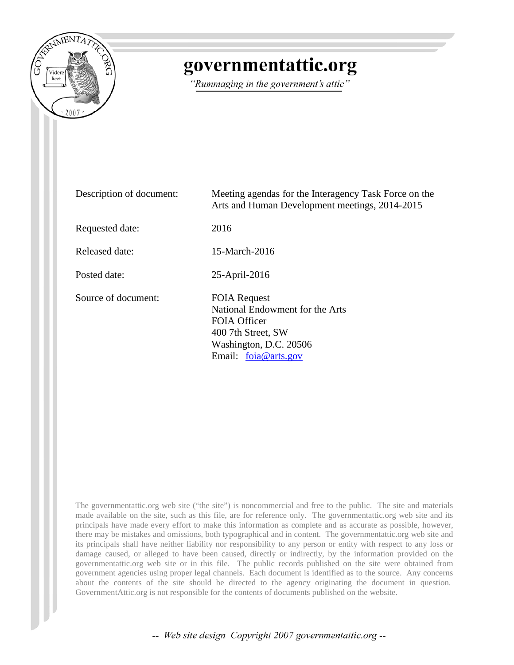

# governmentattic.org

"Rummaging in the government's attic"

| Description of document: | Meeting agendas for the Interagency Task Force on the<br>Arts and Human Development meetings, 2014-2015                                                 |
|--------------------------|---------------------------------------------------------------------------------------------------------------------------------------------------------|
| Requested date:          | 2016                                                                                                                                                    |
| Released date:           | 15-March-2016                                                                                                                                           |
| Posted date:             | 25-April-2016                                                                                                                                           |
| Source of document:      | <b>FOIA Request</b><br>National Endowment for the Arts<br><b>FOIA Officer</b><br>400 7th Street, SW<br>Washington, D.C. 20506<br>Email: $foia@arts.gov$ |

The governmentattic.org web site ("the site") is noncommercial and free to the public. The site and materials made available on the site, such as this file, are for reference only. The governmentattic.org web site and its principals have made every effort to make this information as complete and as accurate as possible, however, there may be mistakes and omissions, both typographical and in content. The governmentattic.org web site and its principals shall have neither liability nor responsibility to any person or entity with respect to any loss or damage caused, or alleged to have been caused, directly or indirectly, by the information provided on the governmentattic.org web site or in this file. The public records published on the site were obtained from government agencies using proper legal channels. Each document is identified as to the source. Any concerns about the contents of the site should be directed to the agency originating the document in question. GovernmentAttic.org is not responsible for the contents of documents published on the website.

-- Web site design Copyright 2007 governmentattic.org --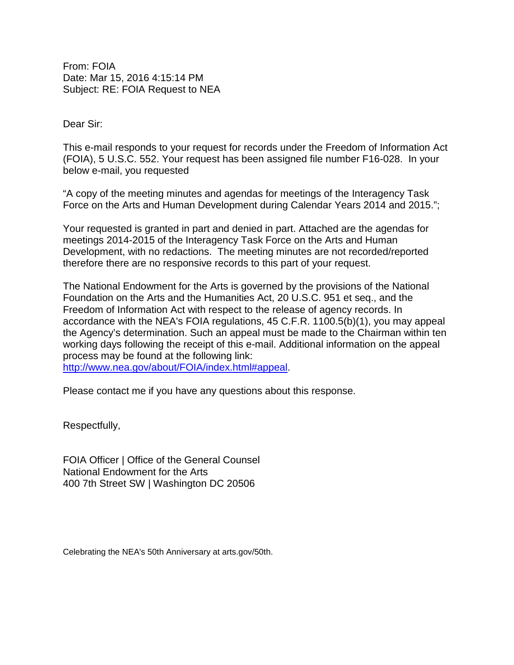From: FOIA Date: Mar 15, 2016 4:15:14 PM Subject: RE: FOIA Request to NEA

Dear Sir:

This e-mail responds to your request for records under the Freedom of Information Act (FOIA), 5 U.S.C. 552. Your request has been assigned file number F16-028. In your below e-mail, you requested

"A copy of the meeting minutes and agendas for meetings of the Interagency Task Force on the Arts and Human Development during Calendar Years 2014 and 2015.";

Your requested is granted in part and denied in part. Attached are the agendas for meetings 2014-2015 of the Interagency Task Force on the Arts and Human Development, with no redactions. The meeting minutes are not recorded/reported therefore there are no responsive records to this part of your request.

The National Endowment for the Arts is governed by the provisions of the National Foundation on the Arts and the Humanities Act, 20 U.S.C. 951 et seq., and the Freedom of Information Act with respect to the release of agency records. In accordance with the NEA's FOIA regulations, 45 C.F.R. 1100.5(b)(1), you may appeal the Agency's determination. Such an appeal must be made to the Chairman within ten working days following the receipt of this e-mail. Additional information on the appeal process may be found at the following link: [http://www.nea.gov/about/FOIA/index.html#appeal.](http://www.nea.gov/about/FOIA/index.html%23appeal)

Please contact me if you have any questions about this response.

Respectfully,

FOIA Officer | Office of the General Counsel National Endowment for the Arts 400 7th Street SW | Washington DC 20506

Celebrating the NEA's 50th Anniversary at arts.gov/50th.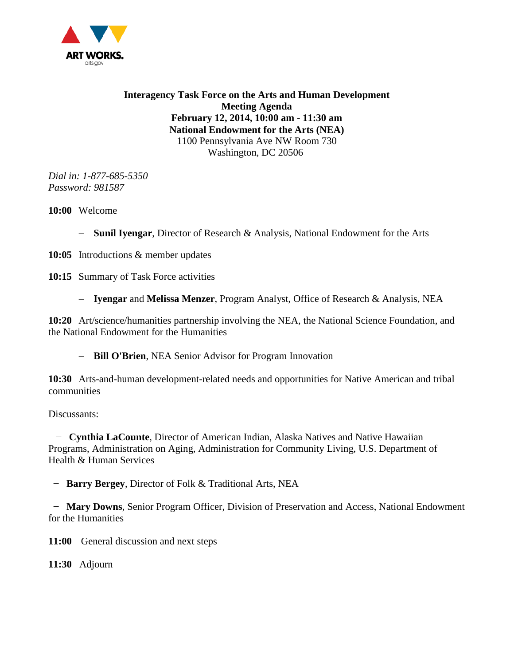

**Interagency Task Force on the Arts and Human Development Meeting Agenda February 12, 2014, 10:00 am - 11:30 am National Endowment for the Arts (NEA)** 1100 Pennsylvania Ave NW Room 730 Washington, DC 20506

*Dial in: 1-877-685-5350 Password: 981587*

**10:00** Welcome

- − **Sunil Iyengar**, Director of Research & Analysis, National Endowment for the Arts
- **10:05** Introductions & member updates

10:15 Summary of Task Force activities

− **Iyengar** and **Melissa Menzer**, Program Analyst, Office of Research & Analysis, NEA

**10:20** Art/science/humanities partnership involving the NEA, the National Science Foundation, and the National Endowment for the Humanities

− **Bill O'Brien**, NEA Senior Advisor for Program Innovation

**10:30** Arts-and-human development-related needs and opportunities for Native American and tribal communities

Discussants:

 − **Cynthia LaCounte**, Director of American Indian, Alaska Natives and Native Hawaiian Programs, Administration on Aging, Administration for Community Living, U.S. Department of Health & Human Services

− **Barry Bergey**, Director of Folk & Traditional Arts, NEA

 − **Mary Downs**, Senior Program Officer, Division of Preservation and Access, National Endowment for the Humanities

**11:00** General discussion and next steps

**11:30** Adjourn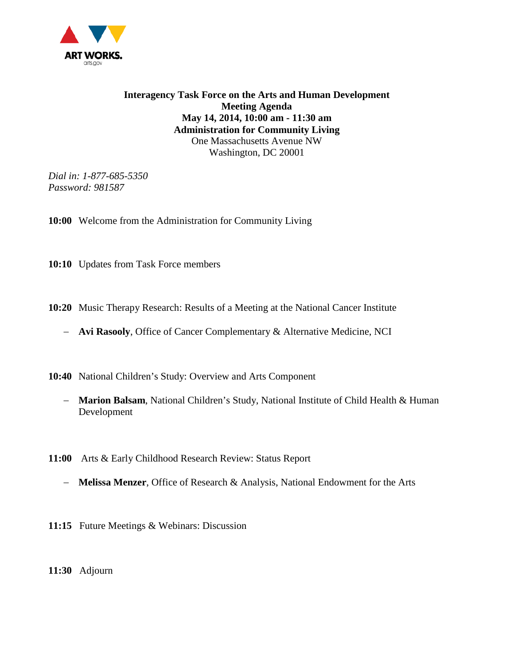

**Interagency Task Force on the Arts and Human Development Meeting Agenda May 14, 2014, 10:00 am - 11:30 am Administration for Community Living** One Massachusetts Avenue NW Washington, DC 20001

*Dial in: 1-877-685-5350 Password: 981587*

**10:00** Welcome from the Administration for Community Living

**10:10** Updates from Task Force members

**10:20** Music Therapy Research: Results of a Meeting at the National Cancer Institute

− **Avi Rasooly**, Office of Cancer Complementary & Alternative Medicine, NCI

**10:40** National Children's Study: Overview and Arts Component

- − **Marion Balsam**, National Children's Study, National Institute of Child Health & Human Development
- **11:00** Arts & Early Childhood Research Review: Status Report
	- − **Melissa Menzer**, Office of Research & Analysis, National Endowment for the Arts
- **11:15** Future Meetings & Webinars: Discussion

**11:30** Adjourn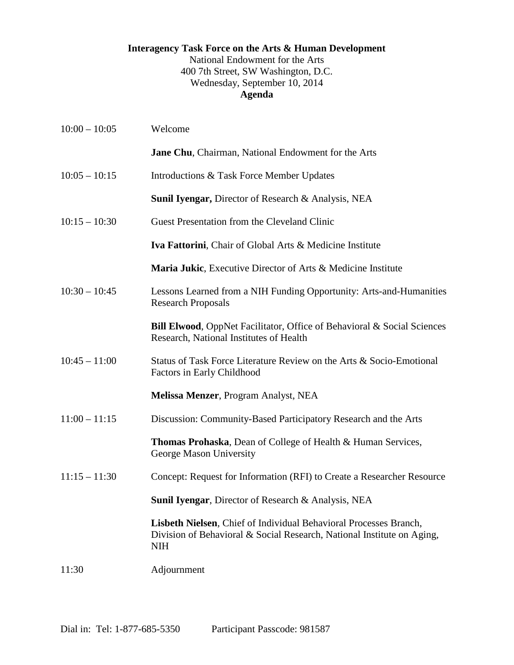### **Interagency Task Force on the Arts & Human Development** National Endowment for the Arts 400 7th Street, SW Washington, D.C. Wednesday, September 10, 2014 **Agenda**

| $10:00 - 10:05$ | Welcome                                                                                                                                                   |
|-----------------|-----------------------------------------------------------------------------------------------------------------------------------------------------------|
|                 | Jane Chu, Chairman, National Endowment for the Arts                                                                                                       |
| $10:05 - 10:15$ | Introductions & Task Force Member Updates                                                                                                                 |
|                 | <b>Sunil Iyengar, Director of Research &amp; Analysis, NEA</b>                                                                                            |
| $10:15 - 10:30$ | Guest Presentation from the Cleveland Clinic                                                                                                              |
|                 | Iva Fattorini, Chair of Global Arts & Medicine Institute                                                                                                  |
|                 | <b>Maria Jukic, Executive Director of Arts &amp; Medicine Institute</b>                                                                                   |
| $10:30 - 10:45$ | Lessons Learned from a NIH Funding Opportunity: Arts-and-Humanities<br><b>Research Proposals</b>                                                          |
|                 | Bill Elwood, OppNet Facilitator, Office of Behavioral & Social Sciences<br>Research, National Institutes of Health                                        |
| $10:45 - 11:00$ | Status of Task Force Literature Review on the Arts & Socio-Emotional<br>Factors in Early Childhood                                                        |
|                 | Melissa Menzer, Program Analyst, NEA                                                                                                                      |
| $11:00 - 11:15$ | Discussion: Community-Based Participatory Research and the Arts                                                                                           |
|                 | <b>Thomas Prohaska, Dean of College of Health &amp; Human Services,</b><br>George Mason University                                                        |
| $11:15 - 11:30$ | Concept: Request for Information (RFI) to Create a Researcher Resource                                                                                    |
|                 | Sunil Iyengar, Director of Research & Analysis, NEA                                                                                                       |
|                 | Lisbeth Nielsen, Chief of Individual Behavioral Processes Branch,<br>Division of Behavioral & Social Research, National Institute on Aging,<br><b>NIH</b> |
| 11:30           | Adjournment                                                                                                                                               |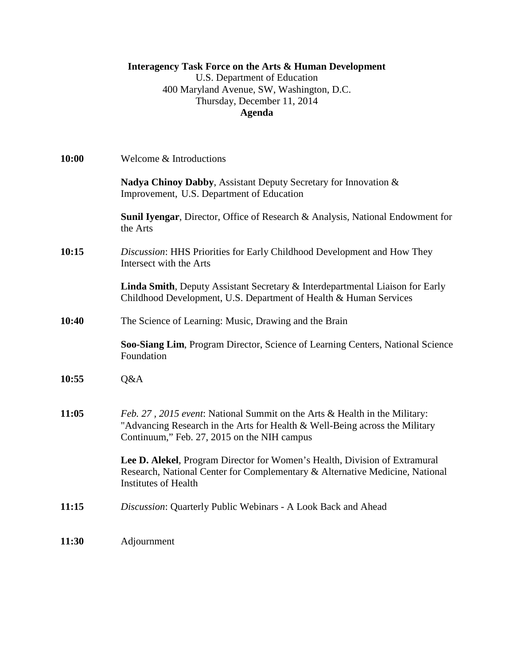# **Interagency Task Force on the Arts & Human Development**

U.S. Department of Education 400 Maryland Avenue, SW, Washington, D.C. Thursday, December 11, 2014 **Agenda**

| 10:00 | Welcome & Introductions                                                                                                                                                                                  |
|-------|----------------------------------------------------------------------------------------------------------------------------------------------------------------------------------------------------------|
|       | Nadya Chinoy Dabby, Assistant Deputy Secretary for Innovation &<br>Improvement, U.S. Department of Education                                                                                             |
|       | Sunil Iyengar, Director, Office of Research & Analysis, National Endowment for<br>the Arts                                                                                                               |
| 10:15 | Discussion: HHS Priorities for Early Childhood Development and How They<br>Intersect with the Arts                                                                                                       |
|       | Linda Smith, Deputy Assistant Secretary & Interdepartmental Liaison for Early<br>Childhood Development, U.S. Department of Health & Human Services                                                       |
| 10:40 | The Science of Learning: Music, Drawing and the Brain                                                                                                                                                    |
|       | Soo-Siang Lim, Program Director, Science of Learning Centers, National Science<br>Foundation                                                                                                             |
| 10:55 | Q&A                                                                                                                                                                                                      |
| 11:05 | Feb. 27, 2015 event: National Summit on the Arts & Health in the Military:<br>"Advancing Research in the Arts for Health & Well-Being across the Military<br>Continuum," Feb. 27, 2015 on the NIH campus |
|       | Lee D. Alekel, Program Director for Women's Health, Division of Extramural<br>Research, National Center for Complementary & Alternative Medicine, National<br><b>Institutes of Health</b>                |
| 11:15 | Discussion: Quarterly Public Webinars - A Look Back and Ahead                                                                                                                                            |
| 11:30 | Adjournment                                                                                                                                                                                              |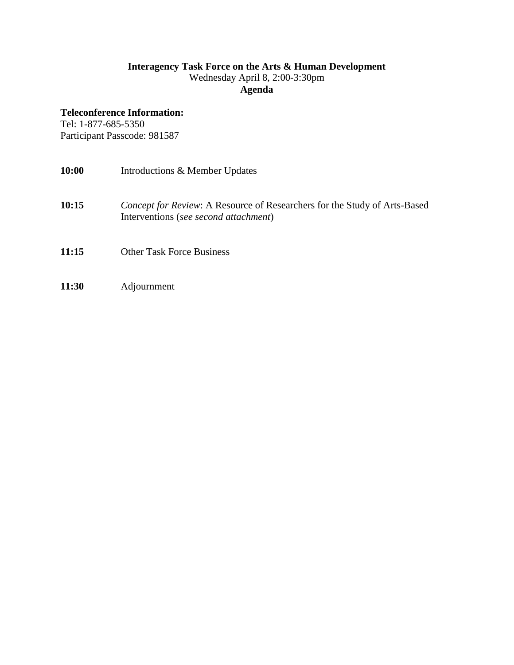#### **Interagency Task Force on the Arts & Human Development** Wednesday April 8, 2:00-3:30pm

**Agenda**

## **Teleconference Information:**

Tel: 1-877-685-5350 Participant Passcode: 981587

| Introductions & Member Updates                                                                                            |
|---------------------------------------------------------------------------------------------------------------------------|
| <i>Concept for Review:</i> A Resource of Researchers for the Study of Arts-Based<br>Interventions (see second attachment) |
| <b>Other Task Force Business</b>                                                                                          |
|                                                                                                                           |

**11:30** Adjournment